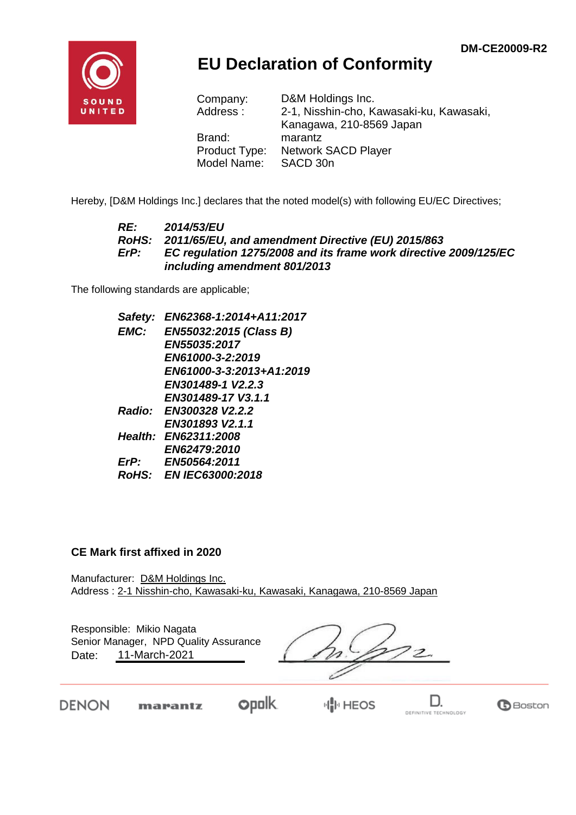

## **EU Declaration of Conformity**

| Company:<br>Address: | D&M Holdings Inc.<br>2-1, Nisshin-cho, Kawasaki-ku, Kawasaki, |
|----------------------|---------------------------------------------------------------|
|                      | Kanagawa, 210-8569 Japan                                      |
| Brand:               | marantz                                                       |
| Product Type:        | <b>Network SACD Player</b>                                    |
| Model Name:          | SACD 30n                                                      |

Hereby, [D&M Holdings Inc.] declares that the noted model(s) with following EU/EC Directives;

#### *RE: 2014/53/EU RoHS: 2011/65/EU, and amendment Directive (EU) 2015/863 ErP: EC regulation 1275/2008 and its frame work directive 2009/125/EC including amendment 801/2013*

The following standards are applicable;

*Safety: EN62368-1:2014+A11:2017 EMC: EN55032:2015 (Class B) EN55035:2017 EN61000-3-2:2019 EN61000-3-3:2013+A1:2019 EN301489-1 V2.2.3 EN301489-17 V3.1.1 Radio: EN300328 V2.2.2 EN301893 V2.1.1 Health: EN62311:2008 EN62479:2010 ErP: EN50564:2011 RoHS: EN IEC63000:2018*

#### **CE Mark first affixed in 2020**

Manufacturer: D&M Holdings Inc. Address : 2-1 Nisshin-cho, Kawasaki-ku, Kawasaki, Kanagawa, 210-8569 Japan

Responsible: Mikio Nagata Date: 11-March-2021 Senior Manager, NPD Quality Assurance

**DENON** 

**opolk** marantz

**HIM HEOS** 

D. DEFINITIVE TECHNOLOGY

**B**Boston